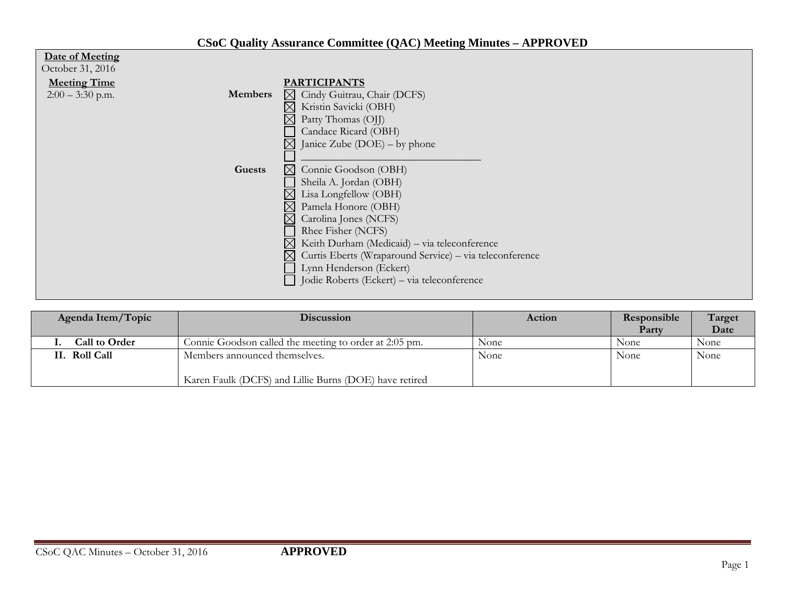## **CSoC Quality Assurance Committee (QAC) Meeting Minutes – APPROVED**

| Date of Meeting     |                |                                                                        |
|---------------------|----------------|------------------------------------------------------------------------|
| October 31, 2016    |                |                                                                        |
| <b>Meeting Time</b> |                | <b>PARTICIPANTS</b>                                                    |
| $2:00 - 3:30$ p.m.  | <b>Members</b> | $\boxtimes$ Cindy Guitrau, Chair (DCFS)                                |
|                     |                | Kristin Savicki (OBH)<br>$\boxtimes$                                   |
|                     |                | $\times$<br>Patty Thomas (OJJ)                                         |
|                     |                | Candace Ricard (OBH)                                                   |
|                     |                | Janice Zube $(DOE)$ – by phone<br>$\boxtimes$                          |
|                     |                |                                                                        |
|                     | Guests         | $\bowtie$<br>Connie Goodson (OBH)                                      |
|                     |                | Sheila A. Jordan (OBH)                                                 |
|                     |                | Lisa Longfellow (OBH)                                                  |
|                     |                | Pamela Honore (OBH)                                                    |
|                     |                | Carolina Jones (NCFS)                                                  |
|                     |                | Rhee Fisher (NCFS)                                                     |
|                     |                | $\boxtimes$<br>Keith Durham (Medicaid) - via teleconference            |
|                     |                | Curtis Eberts (Wraparound Service) - via teleconference<br>$\boxtimes$ |
|                     |                | Lynn Henderson (Eckert)                                                |
|                     |                | Jodie Roberts (Eckert) - via teleconference                            |
|                     |                |                                                                        |

| Agenda Item/Topic    | <b>Discussion</b>                                                                       | Action | Responsible<br>Party | Target<br>Date |
|----------------------|-----------------------------------------------------------------------------------------|--------|----------------------|----------------|
| <b>Call to Order</b> | Connie Goodson called the meeting to order at 2:05 pm.                                  | None   | None                 | None           |
| II. Roll Call        | Members announced themselves.<br>Karen Faulk (DCFS) and Lillie Burns (DOE) have retired | None   | None                 | None           |